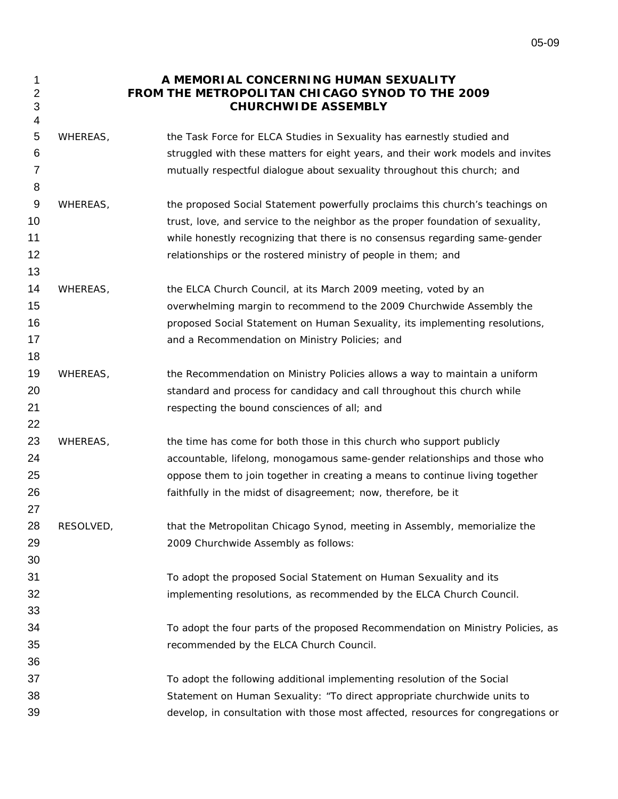## 1 **A MEMORIAL CONCERNING HUMAN SEXUALITY FROM THE METROPOLITAN CHICAGO SYNOD TO THE 2009 CHURCHWIDE ASSEMBLY**

5 6 7 WHEREAS, the Task Force for ELCA Studies in Sexuality has earnestly studied and struggled with these matters for eight years, and their work models and invites mutually respectful dialogue about sexuality throughout this church; and

2 3 4

8

13

18

22

27

- 9 10 11 12 WHEREAS, the proposed Social Statement powerfully proclaims this church's teachings on trust, love, and service to the neighbor as the proper foundation of sexuality, while honestly recognizing that there is no consensus regarding same-gender relationships or the rostered ministry of people in them; and
- 14 15 16 17 WHEREAS, the ELCA Church Council, at its March 2009 meeting, voted by an overwhelming margin to recommend to the 2009 Churchwide Assembly the proposed Social Statement on Human Sexuality, its implementing resolutions, and a Recommendation on Ministry Policies; and
- 19 20 21 WHEREAS, the Recommendation on Ministry Policies allows a way to maintain a uniform standard and process for candidacy and call throughout this church while respecting the bound consciences of all; and
- 23 24 25 26 WHEREAS, the time has come for both those in this church who support publicly accountable, lifelong, monogamous same-gender relationships and those who oppose them to join together in creating a means to continue living together faithfully in the midst of disagreement; now, therefore, be it
- 28 29 RESOLVED, that the Metropolitan Chicago Synod, meeting in Assembly, memorialize the 2009 Churchwide Assembly as follows:
	- To adopt the proposed Social Statement on Human Sexuality and its implementing resolutions, as recommended by the ELCA Church Council.
		- To adopt the four parts of the proposed Recommendation on Ministry Policies, as recommended by the ELCA Church Council.
- 37 38 39 To adopt the following additional implementing resolution of the Social Statement on Human Sexuality: "To direct appropriate churchwide units to develop, in consultation with those most affected, resources for congregations or